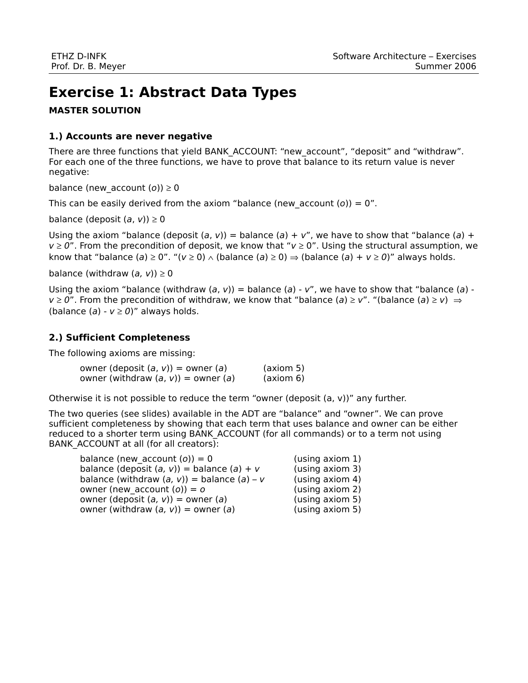# **Exercise 1: Abstract Data Types**

## **MASTER SOLUTION**

#### **1.) Accounts are never negative**

There are three functions that yield BANK\_ACCOUNT: "new\_account", "deposit" and "withdraw". For each one of the three functions, we have to prove that balance to its return value is never negative:

balance (new account  $(o)$ )  $\geq 0$ 

This can be easily derived from the axiom "balance (new account  $(o) = 0$ ".

balance (deposit  $(a, v) \ge 0$ 

Using the axiom "balance (deposit (a, v)) = balance (a) + v", we have to show that "balance (a) +  $v \ge 0$ ". From the precondition of deposit, we know that " $v \ge 0$ ". Using the structural assumption, we know that "balance (a)  $\geq 0$ ". "( $v \geq 0$ )  $\wedge$  (balance (a)  $\geq 0$ )  $\Rightarrow$  (balance (a) +  $v \geq 0$ )" always holds.

balance (withdraw  $(a, v) \ge 0$ 

Using the axiom "balance (withdraw  $(a, v)$ ) = balance  $(a)$  - v", we have to show that "balance  $(a)$   $v \ge 0$ ". From the precondition of withdraw, we know that "balance (a)  $\ge v$ ". "(balance (a)  $\ge v$ )  $\Rightarrow$ (balance  $(a) - v \ge 0$ )" always holds.

## **2.) Sufficient Completeness**

The following axioms are missing:

owner (deposit  $(a, v)$ ) = owner  $(a)$  (axiom 5) owner (withdraw  $(a, v)$ ) = owner  $(a)$  (axiom 6)

Otherwise it is not possible to reduce the term "owner (deposit  $(a, v)$ " any further.

The two queries (see slides) available in the ADT are "balance" and "owner". We can prove sufficient completeness by showing that each term that uses balance and owner can be either reduced to a shorter term using BANK\_ACCOUNT (for all commands) or to a term not using BANK\_ACCOUNT at all (for all creators):

| balance (new account $(o)$ ) = 0                 | (using axiom 1) |
|--------------------------------------------------|-----------------|
| balance (deposit $(a, v)$ ) = balance $(a) + v$  | (using axiom 3) |
| balance (withdraw $(a, v)$ ) = balance $(a) - v$ | (using axiom 4) |
| owner (new account $(o)$ ) = o                   | (using axiom 2) |
| owner (deposit $(a, v)$ ) = owner $(a)$          | (using axiom 5) |
| owner (withdraw $(a, v)$ ) = owner $(a)$         | (using axiom 5) |